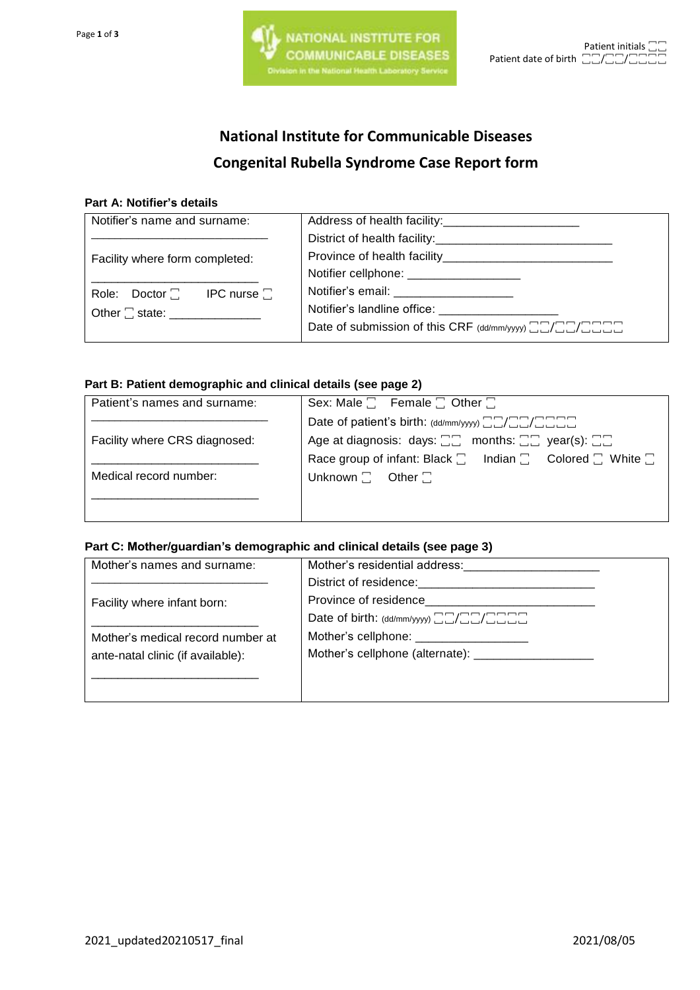# **National Institute for Communicable Diseases Congenital Rubella Syndrome Case Report form**

#### **Part A: Notifier's details**

| Notifier's name and surname:      |                                                                                      |
|-----------------------------------|--------------------------------------------------------------------------------------|
|                                   | District of health facility:<br><u> Letting and the contract of health facility:</u> |
| Facility where form completed:    |                                                                                      |
|                                   | Notifier cellphone: ____________________                                             |
| Role: $Dactor$   IPC nurse $\Box$ | Notifier's email: ______________________                                             |
|                                   |                                                                                      |
|                                   | Date of submission of this CRF (dd/mm/yyy) HHCHHHHHHHHH                              |
|                                   |                                                                                      |

#### **Part B: Patient demographic and clinical details (see page 2)**

| Patient's names and surname:  | Sex: Male $\Box$ Female $\Box$ Other $\Box$                                              |  |  |
|-------------------------------|------------------------------------------------------------------------------------------|--|--|
|                               | Date of patient's birth: (dd/mm/yyyy) <b>ACACCOM</b>                                     |  |  |
| Facility where CRS diagnosed: | Age at diagnosis: days: $\Box \Box$ months: $\Box \Box$ year(s): $\Box \Box$             |  |  |
|                               | Race group of infant: Black $\square$ Indian $\square$ Colored $\square$ White $\square$ |  |  |
| Medical record number:        | Unknown $\Box$ Other $\Box$                                                              |  |  |
|                               |                                                                                          |  |  |
|                               |                                                                                          |  |  |

### **Part C: Mother/guardian's demographic and clinical details (see page 3)**

| Mother's residential address:                     |  |
|---------------------------------------------------|--|
| District of residence: The contract of residence: |  |
|                                                   |  |
| Date of birth: (dd/mm/yyyy) <b>HACCOLOGY</b>      |  |
| Mother's cellphone: _____________________         |  |
|                                                   |  |
|                                                   |  |
|                                                   |  |
|                                                   |  |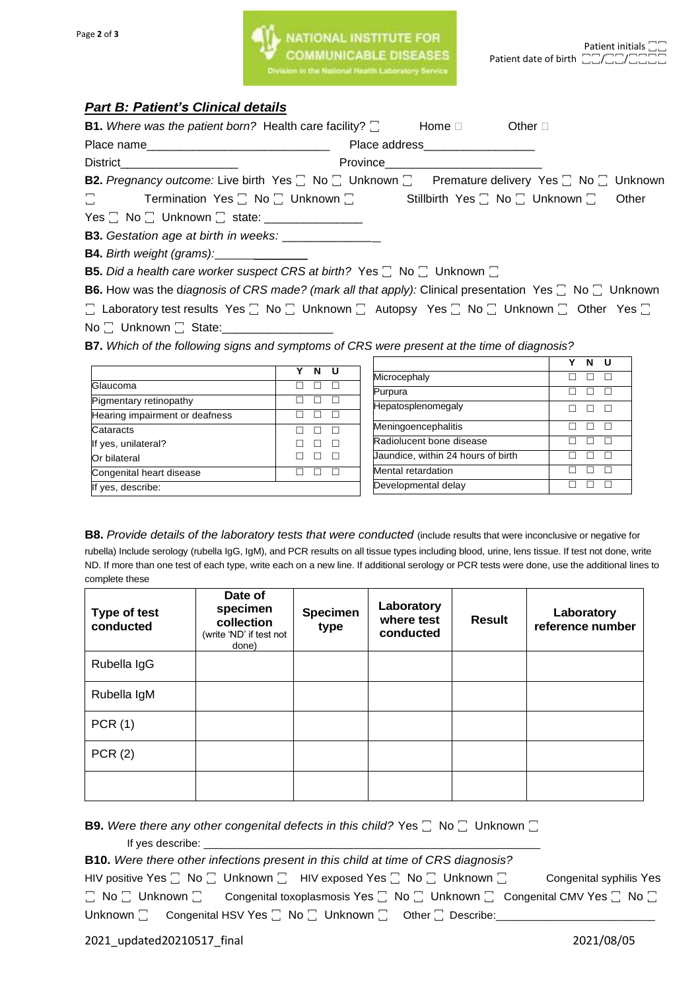## *Part B: Patient's Clinical details*

| <b>B1.</b> Where was the patient born? Health care facility? $\square$                        | Home □<br>Other $\square$                                                                                                    |
|-----------------------------------------------------------------------------------------------|------------------------------------------------------------------------------------------------------------------------------|
|                                                                                               | Place address___________________                                                                                             |
| District <b>District</b>                                                                      | Province <b>Example 2019</b>                                                                                                 |
|                                                                                               | <b>B2.</b> Pregnancy outcome: Live birth Yes $\Box$ No $\Box$ Unknown $\Box$ Premature delivery Yes $\Box$ No $\Box$ Unknown |
| $\square$                                                                                     |                                                                                                                              |
|                                                                                               |                                                                                                                              |
| <b>B3.</b> Gestation age at birth in weeks: _______________                                   |                                                                                                                              |
| <b>B4.</b> Birth weight (grams): ______________                                               |                                                                                                                              |
| <b>B5.</b> Did a health care worker suspect CRS at birth? Yes $\Box$ No $\Box$ Unknown $\Box$ |                                                                                                                              |

**B6.** How was the diagnosis of CRS made? (mark all that apply): Clinical presentation Yes  $\Box$  No  $\Box$  Unknown

□ Laboratory test results Yes □ No □ Unknown □ Autopsy Yes □ No □ Unknown □ Other Yes □

No  $\square$  Unknown  $\square$  State:

**B7.** *Which of the following signs and symptoms of CRS were present at the time of diagnosis?*

|                                | Y | N | - 11 |
|--------------------------------|---|---|------|
| Glaucoma                       |   |   |      |
| Pigmentary retinopathy         |   |   |      |
| Hearing impairment or deafness |   |   |      |
| Cataracts                      |   |   |      |
| If yes, unilateral?            |   |   |      |
| Or bilateral                   |   |   |      |
| Congenital heart disease       |   |   |      |
| If yes, describe:              |   |   |      |

|                                    | Y | N | U |
|------------------------------------|---|---|---|
| Microcephaly                       |   |   |   |
| Purpura                            |   |   |   |
| Hepatosplenomegaly                 |   |   |   |
| Meningoencephalitis                |   |   |   |
| Radiolucent bone disease           |   |   |   |
| Jaundice, within 24 hours of birth |   |   |   |
| Mental retardation                 |   |   |   |
| Developmental delay                |   |   |   |

**B8.** *Provide details of the laboratory tests that were conducted* (include results that were inconclusive or negative for rubella) Include serology (rubella IgG, IgM), and PCR results on all tissue types including blood, urine, lens tissue. If test not done, write ND. If more than one test of each type, write each on a new line. If additional serology or PCR tests were done, use the additional lines to complete these

| Type of test<br>conducted | Date of<br>specimen<br>collection<br>(write 'ND' if test not<br>done) | Specimen<br>type | Laboratory<br>where test<br>conducted | <b>Result</b> | Laboratory<br>reference number |
|---------------------------|-----------------------------------------------------------------------|------------------|---------------------------------------|---------------|--------------------------------|
| Rubella IgG               |                                                                       |                  |                                       |               |                                |
| Rubella IgM               |                                                                       |                  |                                       |               |                                |
| PCR(1)                    |                                                                       |                  |                                       |               |                                |
| PCR(2)                    |                                                                       |                  |                                       |               |                                |
|                           |                                                                       |                  |                                       |               |                                |

**B9.** Were there any other congenital defects in this child? Yes  $\Box$  No  $\Box$  Unknown  $\Box$ If yes describe: \_\_\_\_\_\_\_\_\_\_\_\_\_\_\_\_\_\_\_\_\_\_\_\_\_\_\_\_\_\_\_\_\_\_\_\_\_\_\_\_\_\_\_\_\_\_\_\_\_\_\_\_\_\_\_

| <b>B10.</b> Were there other infections present in this child at time of CRS diagnosis? |  |  |  |                                                                                                  |                                                                                                                                  |
|-----------------------------------------------------------------------------------------|--|--|--|--------------------------------------------------------------------------------------------------|----------------------------------------------------------------------------------------------------------------------------------|
|                                                                                         |  |  |  | HIV positive Yes $\Box$ No $\Box$ Unknown $\Box$ HIV exposed Yes $\Box$ No $\Box$ Unknown $\Box$ | Congenital syphilis Yes                                                                                                          |
|                                                                                         |  |  |  |                                                                                                  | $\Box$ No $\Box$ Unknown $\Box$ Congenital toxoplasmosis Yes $\Box$ No $\Box$ Unknown $\Box$ Congenital CMV Yes $\Box$ No $\Box$ |
|                                                                                         |  |  |  | Unknown $\Box$ Congenital HSV Yes $\Box$ No $\Box$ Unknown $\Box$ Other $\Box$ Describe:         |                                                                                                                                  |